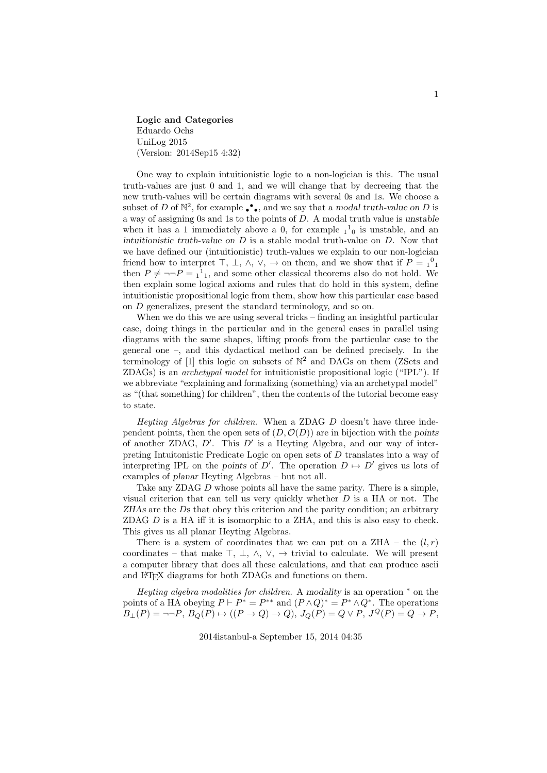Logic and Categories Eduardo Ochs UniLog 2015 (Version: 2014Sep15 4:32)

One way to explain intuitionistic logic to a non-logician is this. The usual truth-values are just 0 and 1, and we will change that by decreeing that the new truth-values will be certain diagrams with several 0s and 1s. We choose a subset of D of  $\mathbb{N}^2$ , for example  $\bullet \bullet$ , and we say that a modal truth-value on D is a way of assigning 0s and 1s to the points of D. A modal truth value is unstable when it has a 1 immediately above a 0, for example  $1^1$ <sub>0</sub> is unstable, and an intuitionistic truth-value on  $D$  is a stable modal truth-value on  $D$ . Now that we have defined our (intuitionistic) truth-values we explain to our non-logician friend how to interpret  $\top$ ,  $\bot$ ,  $\land$ ,  $\lor$ ,  $\to$  on them, and we show that if  $P = 1^01$ then  $P \neq \neg \neg P = 1^1$ , and some other classical theorems also do not hold. We then explain some logical axioms and rules that do hold in this system, define intuitionistic propositional logic from them, show how this particular case based on D generalizes, present the standard terminology, and so on.

When we do this we are using several tricks – finding an insightful particular case, doing things in the particular and in the general cases in parallel using diagrams with the same shapes, lifting proofs from the particular case to the general one –, and this dydactical method can be defined precisely. In the terminology of [1] this logic on subsets of  $\mathbb{N}^2$  and DAGs on them (ZSets and ZDAGs) is an archetypal model for intuitionistic propositional logic ("IPL"). If we abbreviate "explaining and formalizing (something) via an archetypal model" as "(that something) for children", then the contents of the tutorial become easy to state.

Heyting Algebras for children. When a ZDAG D doesn't have three independent points, then the open sets of  $(D, \mathcal{O}(D))$  are in bijection with the points of another ZDAG,  $D'$ . This  $D'$  is a Heyting Algebra, and our way of interpreting Intuitonistic Predicate Logic on open sets of D translates into a way of interpreting IPL on the points of D'. The operation  $D \mapsto D'$  gives us lots of examples of planar Heyting Algebras – but not all.

Take any ZDAG D whose points all have the same parity. There is a simple, visual criterion that can tell us very quickly whether  $D$  is a HA or not. The ZHAs are the Ds that obey this criterion and the parity condition; an arbitrary ZDAG  $D$  is a HA iff it is isomorphic to a ZHA, and this is also easy to check. This gives us all planar Heyting Algebras.

There is a system of coordinates that we can put on a ZHA – the  $(l, r)$ coordinates – that make  $\top$ ,  $\bot$ ,  $\land$ ,  $\lor$ ,  $\rightarrow$  trivial to calculate. We will present a computer library that does all these calculations, and that can produce ascii and LAT<sub>EX</sub> diagrams for both ZDAGs and functions on them.

Heyting algebra modalities for children. A modality is an operation <sup>∗</sup> on the points of a HA obeying  $P \vdash P^* = P^{**}$  and  $(P \wedge Q)^* = P^* \wedge Q^*$ . The operations  $B_{\perp}(P) = \neg \neg P$ ,  $B_Q(P) \mapsto ((P \to Q) \to Q)$ ,  $J_Q(P) = Q \lor P$ ,  $J^Q(P) = Q \to P$ ,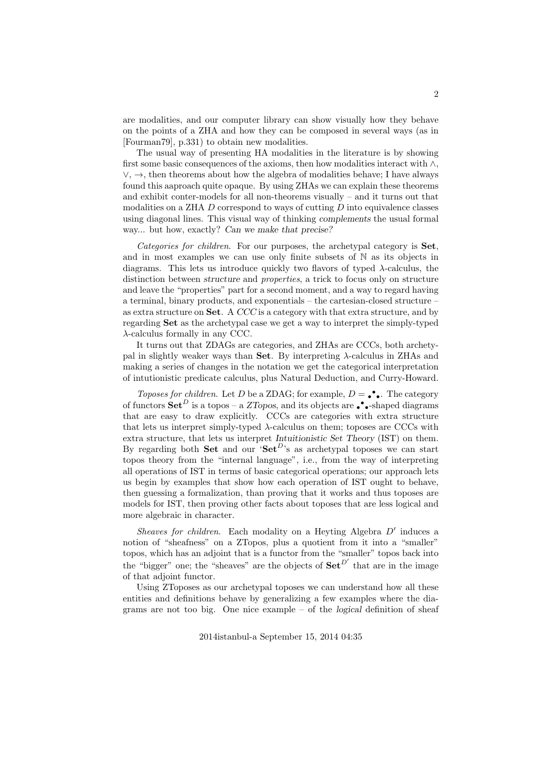are modalities, and our computer library can show visually how they behave on the points of a ZHA and how they can be composed in several ways (as in [Fourman79], p.331) to obtain new modalities.

The usual way of presenting HA modalities in the literature is by showing first some basic consequences of the axioms, then how modalities interact with  $\wedge$ ,  $\vee, \rightarrow$ , then theorems about how the algebra of modalities behave; I have always found this aaproach quite opaque. By using ZHAs we can explain these theorems and exhibit conter-models for all non-theorems visually – and it turns out that modalities on a ZHA  $D$  correspond to ways of cutting  $D$  into equivalence classes using diagonal lines. This visual way of thinking complements the usual formal way... but how, exactly? Can we make that precise?

Categories for children. For our purposes, the archetypal category is Set, and in most examples we can use only finite subsets of N as its objects in diagrams. This lets us introduce quickly two flavors of typed  $\lambda$ -calculus, the distinction between structure and properties, a trick to focus only on structure and leave the "properties" part for a second moment, and a way to regard having a terminal, binary products, and exponentials – the cartesian-closed structure – as extra structure on Set. A CCC is a category with that extra structure, and by regarding Set as the archetypal case we get a way to interpret the simply-typed λ-calculus formally in any CCC.

It turns out that ZDAGs are categories, and ZHAs are CCCs, both archetypal in slightly weaker ways than **Set**. By interpreting  $\lambda$ -calculus in ZHAs and making a series of changes in the notation we get the categorical interpretation of intutionistic predicate calculus, plus Natural Deduction, and Curry-Howard.

Toposes for children. Let D be a ZDAG; for example,  $D = \bullet \bullet$ . The category of functors  $\mathbf{Set}^D$  is a topos – a ZTopos, and its objects are  $\bullet \bullet$  -shaped diagrams that are easy to draw explicitly. CCCs are categories with extra structure that lets us interpret simply-typed  $\lambda$ -calculus on them; toposes are CCCs with extra structure, that lets us interpret Intuitionistic Set Theory (IST) on them. By regarding both **Set** and our 'Set<sup>D</sup>'s as archetypal toposes we can start topos theory from the "internal language", i.e., from the way of interpreting all operations of IST in terms of basic categorical operations; our approach lets us begin by examples that show how each operation of IST ought to behave, then guessing a formalization, than proving that it works and thus toposes are models for IST, then proving other facts about toposes that are less logical and more algebraic in character.

Sheaves for children. Each modality on a Heyting Algebra  $D'$  induces a notion of "sheafness" on a ZTopos, plus a quotient from it into a "smaller" topos, which has an adjoint that is a functor from the "smaller" topos back into the "bigger" one; the "sheaves" are the objects of  $\mathbf{Set}^{D'}$  that are in the image of that adjoint functor.

Using ZToposes as our archetypal toposes we can understand how all these entities and definitions behave by generalizing a few examples where the diagrams are not too big. One nice example – of the logical definition of sheaf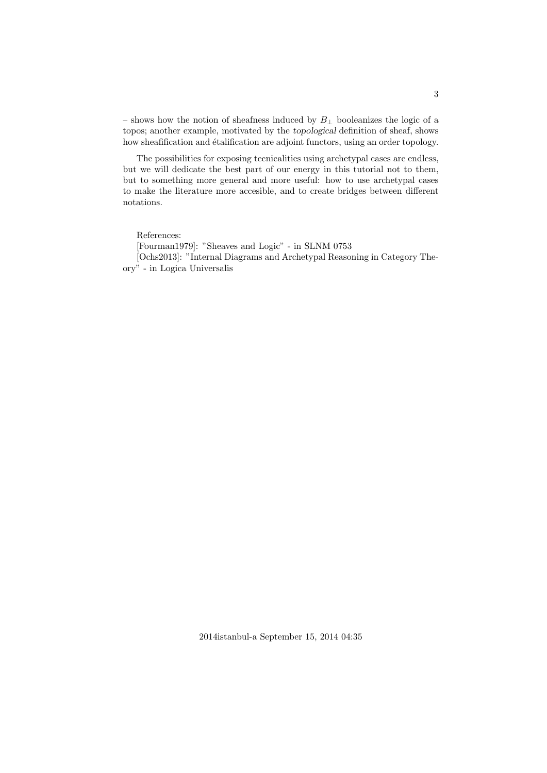– shows how the notion of sheafness induced by  $B_{\perp}$  booleanizes the logic of a topos; another example, motivated by the topological definition of sheaf, shows how sheafification and étalification are adjoint functors, using an order topology.

The possibilities for exposing tecnicalities using archetypal cases are endless, but we will dedicate the best part of our energy in this tutorial not to them, but to something more general and more useful: how to use archetypal cases to make the literature more accesible, and to create bridges between different notations.

References:

[Fourman1979]: "Sheaves and Logic" - in SLNM 0753

[Ochs2013]: "Internal Diagrams and Archetypal Reasoning in Category Theory" - in Logica Universalis